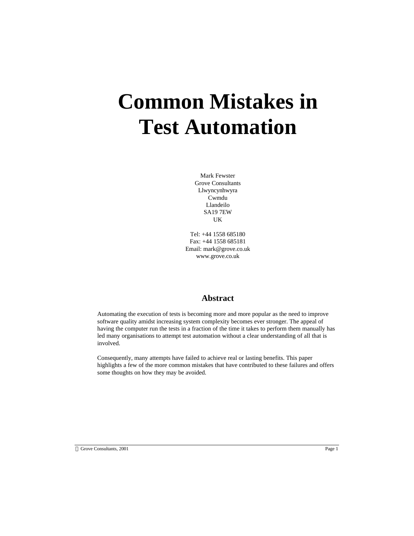# **Common Mistakes in Test Automation**

Mark Fewster Grove Consultants Llwyncynhwyra Cwmdu Llandeilo SA19 7EW UK

Tel: +44 1558 685180 Fax: +44 1558 685181 Email: mark@grove.co.uk www.grove.co.uk

#### **Abstract**

Automating the execution of tests is becoming more and more popular as the need to improve software quality amidst increasing system complexity becomes ever stronger. The appeal of having the computer run the tests in a fraction of the time it takes to perform them manually has led many organisations to attempt test automation without a clear understanding of all that is involved.

Consequently, many attempts have failed to achieve real or lasting benefits. This paper highlights a few of the more common mistakes that have contributed to these failures and offers some thoughts on how they may be avoided.

Grove Consultants, 2001 Page 1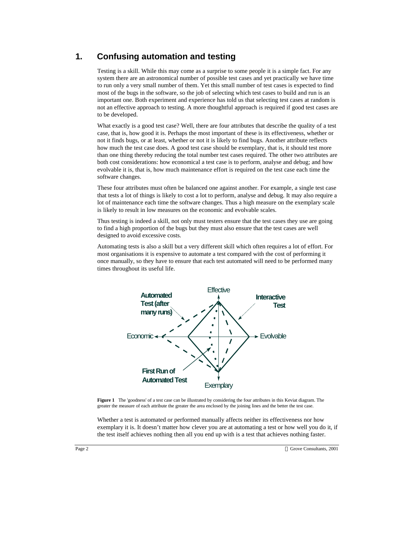# **1. Confusing automation and testing**

Testing is a skill. While this may come as a surprise to some people it is a simple fact. For any system there are an astronomical number of possible test cases and yet practically we have time to run only a very small number of them. Yet this small number of test cases is expected to find most of the bugs in the software, so the job of selecting which test cases to build and run is an important one. Both experiment and experience has told us that selecting test cases at random is not an effective approach to testing. A more thoughtful approach is required if good test cases are to be developed.

What exactly is a good test case? Well, there are four attributes that describe the quality of a test case, that is, how good it is. Perhaps the most important of these is its effectiveness, whether or not it finds bugs, or at least, whether or not it is likely to find bugs. Another attribute reflects how much the test case does. A good test case should be exemplary, that is, it should test more than one thing thereby reducing the total number test cases required. The other two attributes are both cost considerations: how economical a test case is to perform, analyse and debug; and how evolvable it is, that is, how much maintenance effort is required on the test case each time the software changes.

These four attributes must often be balanced one against another. For example, a single test case that tests a lot of things is likely to cost a lot to perform, analyse and debug. It may also require a lot of maintenance each time the software changes. Thus a high measure on the exemplary scale is likely to result in low measures on the economic and evolvable scales.

Thus testing is indeed a skill, not only must testers ensure that the test cases they use are going to find a high proportion of the bugs but they must also ensure that the test cases are well designed to avoid excessive costs.

Automating tests is also a skill but a very different skill which often requires a lot of effort. For most organisations it is expensive to automate a test compared with the cost of performing it once manually, so they have to ensure that each test automated will need to be performed many times throughout its useful life.



**Figure 1** The 'goodness' of a test case can be illustrated by considering the four attributes in this Keviat diagram. The greater the measure of each attribute the greater the area enclosed by the joining lines and the better the test case.

Whether a test is automated or performed manually affects neither its effectiveness nor how exemplary it is. It doesn't matter how clever you are at automating a test or how well you do it, if the test itself achieves nothing then all you end up with is a test that achieves nothing faster.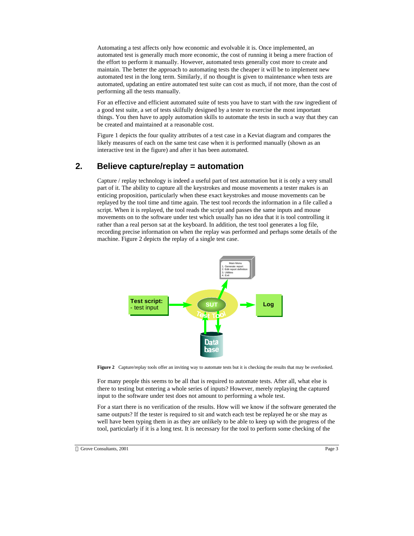Automating a test affects only how economic and evolvable it is. Once implemented, an automated test is generally much more economic, the cost of running it being a mere fraction of the effort to perform it manually. However, automated tests generally cost more to create and maintain. The better the approach to automating tests the cheaper it will be to implement new automated test in the long term. Similarly, if no thought is given to maintenance when tests are automated, updating an entire automated test suite can cost as much, if not more, than the cost of performing all the tests manually.

For an effective and efficient automated suite of tests you have to start with the raw ingredient of a good test suite, a set of tests skilfully designed by a tester to exercise the most important things. You then have to apply automation skills to automate the tests in such a way that they can be created and maintained at a reasonable cost.

Figure 1 depicts the four quality attributes of a test case in a Keviat diagram and compares the likely measures of each on the same test case when it is performed manually (shown as an interactive test in the figure) and after it has been automated.

#### **2. Believe capture/replay = automation**

Capture / replay technology is indeed a useful part of test automation but it is only a very small part of it. The ability to capture all the keystrokes and mouse movements a tester makes is an enticing proposition, particularly when these exact keystrokes and mouse movements can be replayed by the tool time and time again. The test tool records the information in a file called a script. When it is replayed, the tool reads the script and passes the same inputs and mouse movements on to the software under test which usually has no idea that it is tool controlling it rather than a real person sat at the keyboard. In addition, the test tool generates a log file, recording precise information on when the replay was performed and perhaps some details of the machine. Figure 2 depicts the replay of a single test case.



**Figure 2** Capture/replay tools offer an inviting way to automate tests but it is checking the results that may be overlooked.

For many people this seems to be all that is required to automate tests. After all, what else is there to testing but entering a whole series of inputs? However, merely replaying the captured input to the software under test does not amount to performing a whole test.

For a start there is no verification of the results. How will we know if the software generated the same outputs? If the tester is required to sit and watch each test be replayed he or she may as well have been typing them in as they are unlikely to be able to keep up with the progress of the tool, particularly if it is a long test. It is necessary for the tool to perform some checking of the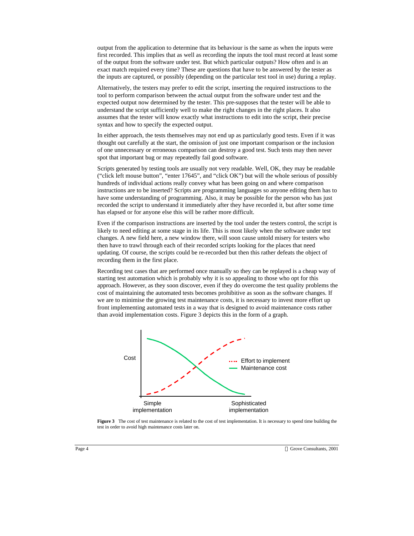output from the application to determine that its behaviour is the same as when the inputs were first recorded. This implies that as well as recording the inputs the tool must record at least some of the output from the software under test. But which particular outputs? How often and is an exact match required every time? These are questions that have to be answered by the tester as the inputs are captured, or possibly (depending on the particular test tool in use) during a replay.

Alternatively, the testers may prefer to edit the script, inserting the required instructions to the tool to perform comparison between the actual output from the software under test and the expected output now determined by the tester. This pre-supposes that the tester will be able to understand the script sufficiently well to make the right changes in the right places. It also assumes that the tester will know exactly what instructions to edit into the script, their precise syntax and how to specify the expected output.

In either approach, the tests themselves may not end up as particularly good tests. Even if it was thought out carefully at the start, the omission of just one important comparison or the inclusion of one unnecessary or erroneous comparison can destroy a good test. Such tests may then never spot that important bug or may repeatedly fail good software.

Scripts generated by testing tools are usually not very readable. Well, OK, they may be readable ("click left mouse button", "enter 17645", and "click OK") but will the whole serious of possibly hundreds of individual actions really convey what has been going on and where comparison instructions are to be inserted? Scripts are programming languages so anyone editing them has to have some understanding of programming. Also, it may be possible for the person who has just recorded the script to understand it immediately after they have recorded it, but after some time has elapsed or for anyone else this will be rather more difficult.

Even if the comparison instructions are inserted by the tool under the testers control, the script is likely to need editing at some stage in its life. This is most likely when the software under test changes. A new field here, a new window there, will soon cause untold misery for testers who then have to trawl through each of their recorded scripts looking for the places that need updating. Of course, the scripts could be re-recorded but then this rather defeats the object of recording them in the first place.

Recording test cases that are performed once manually so they can be replayed is a cheap way of starting test automation which is probably why it is so appealing to those who opt for this approach. However, as they soon discover, even if they do overcome the test quality problems the cost of maintaining the automated tests becomes prohibitive as soon as the software changes. If we are to minimise the growing test maintenance costs, it is necessary to invest more effort up front implementing automated tests in a way that is designed to avoid maintenance costs rather than avoid implementation costs. Figure 3 depicts this in the form of a graph.



**Figure 3** The cost of test maintenance is related to the cost of test implementation. It is necessary to spend time building the test in order to avoid high maintenance costs later on.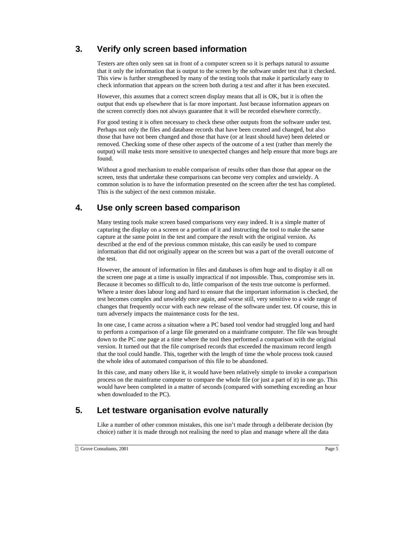# **3. Verify only screen based information**

Testers are often only seen sat in front of a computer screen so it is perhaps natural to assume that it only the information that is output to the screen by the software under test that it checked. This view is further strengthened by many of the testing tools that make it particularly easy to check information that appears on the screen both during a test and after it has been executed.

However, this assumes that a correct screen display means that all is OK, but it is often the output that ends up elsewhere that is far more important. Just because information appears on the screen correctly does not always guarantee that it will be recorded elsewhere correctly.

For good testing it is often necessary to check these other outputs from the software under test. Perhaps not only the files and database records that have been created and changed, but also those that have not been changed and those that have (or at least should have) been deleted or removed. Checking some of these other aspects of the outcome of a test (rather than merely the output) will make tests more sensitive to unexpected changes and help ensure that more bugs are found.

Without a good mechanism to enable comparison of results other than those that appear on the screen, tests that undertake these comparisons can become very complex and unwieldy. A common solution is to have the information presented on the screen after the test has completed. This is the subject of the next common mistake.

#### **4. Use only screen based comparison**

Many testing tools make screen based comparisons very easy indeed. It is a simple matter of capturing the display on a screen or a portion of it and instructing the tool to make the same capture at the same point in the test and compare the result with the original version. As described at the end of the previous common mistake, this can easily be used to compare information that did not originally appear on the screen but was a part of the overall outcome of the test.

However, the amount of information in files and databases is often huge and to display it all on the screen one page at a time is usually impractical if not impossible. Thus, compromise sets in. Because it becomes so difficult to do, little comparison of the tests true outcome is performed. Where a tester does labour long and hard to ensure that the important information is checked, the test becomes complex and unwieldy once again, and worse still, very sensitive to a wide range of changes that frequently occur with each new release of the software under test. Of course, this in turn adversely impacts the maintenance costs for the test.

In one case, I came across a situation where a PC based tool vendor had struggled long and hard to perform a comparison of a large file generated on a mainframe computer. The file was brought down to the PC one page at a time where the tool then performed a comparison with the original version. It turned out that the file comprised records that exceeded the maximum record length that the tool could handle. This, together with the length of time the whole process took caused the whole idea of automated comparison of this file to be abandoned.

In this case, and many others like it, it would have been relatively simple to invoke a comparison process on the mainframe computer to compare the whole file (or just a part of it) in one go. This would have been completed in a matter of seconds (compared with something exceeding an hour when downloaded to the PC).

#### **5. Let testware organisation evolve naturally**

Like a number of other common mistakes, this one isn't made through a deliberate decision (by choice) rather it is made through not realising the need to plan and manage where all the data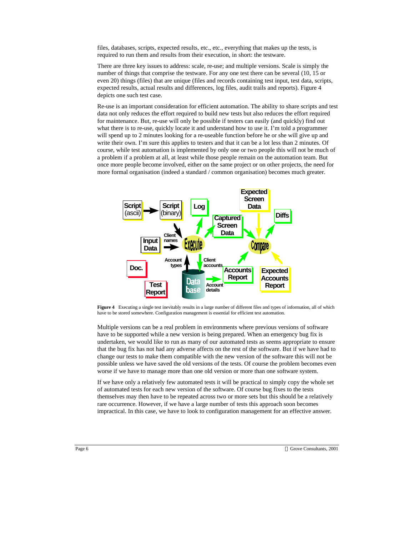files, databases, scripts, expected results, etc., etc., everything that makes up the tests, is required to run them and results from their execution, in short: the testware.

There are three key issues to address: scale, re-use; and multiple versions. Scale is simply the number of things that comprise the testware. For any one test there can be several (10, 15 or even 20) things (files) that are unique (files and records containing test input, test data, scripts, expected results, actual results and differences, log files, audit trails and reports). Figure 4 depicts one such test case.

Re-use is an important consideration for efficient automation. The ability to share scripts and test data not only reduces the effort required to build new tests but also reduces the effort required for maintenance. But, re-use will only be possible if testers can easily (and quickly) find out what there is to re-use, quickly locate it and understand how to use it. I'm told a programmer will spend up to 2 minutes looking for a re-useable function before he or she will give up and write their own. I'm sure this applies to testers and that it can be a lot less than 2 minutes. Of course, while test automation is implemented by only one or two people this will not be much of a problem if a problem at all, at least while those people remain on the automation team. But once more people become involved, either on the same project or on other projects, the need for more formal organisation (indeed a standard / common organisation) becomes much greater.



**Figure 4** Executing a single test inevitably results in a large number of different files and types of information, all of which have to be stored somewhere. Configuration management is essential for efficient test automation.

Multiple versions can be a real problem in environments where previous versions of software have to be supported while a new version is being prepared. When an emergency bug fix is undertaken, we would like to run as many of our automated tests as seems appropriate to ensure that the bug fix has not had any adverse affects on the rest of the software. But if we have had to change our tests to make them compatible with the new version of the software this will not be possible unless we have saved the old versions of the tests. Of course the problem becomes even worse if we have to manage more than one old version or more than one software system.

If we have only a relatively few automated tests it will be practical to simply copy the whole set of automated tests for each new version of the software. Of course bug fixes to the tests themselves may then have to be repeated across two or more sets but this should be a relatively rare occurrence. However, if we have a large number of tests this approach soon becomes impractical. In this case, we have to look to configuration management for an effective answer.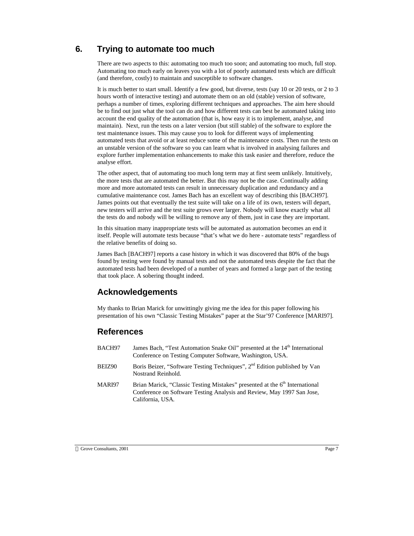# **6. Trying to automate too much**

There are two aspects to this: automating too much too soon; and automating too much, full stop. Automating too much early on leaves you with a lot of poorly automated tests which are difficult (and therefore, costly) to maintain and susceptible to software changes.

It is much better to start small. Identify a few good, but diverse, tests (say 10 or 20 tests, or 2 to 3 hours worth of interactive testing) and automate them on an old (stable) version of software, perhaps a number of times, exploring different techniques and approaches. The aim here should be to find out just what the tool can do and how different tests can best be automated taking into account the end quality of the automation (that is, how easy it is to implement, analyse, and maintain). Next, run the tests on a later version (but still stable) of the software to explore the test maintenance issues. This may cause you to look for different ways of implementing automated tests that avoid or at least reduce some of the maintenance costs. Then run the tests on an unstable version of the software so you can learn what is involved in analysing failures and explore further implementation enhancements to make this task easier and therefore, reduce the analyse effort.

The other aspect, that of automating too much long term may at first seem unlikely. Intuitively, the more tests that are automated the better. But this may not be the case. Continually adding more and more automated tests can result in unnecessary duplication and redundancy and a cumulative maintenance cost. James Bach has an excellent way of describing this [BACH97]. James points out that eventually the test suite will take on a life of its own, testers will depart, new testers will arrive and the test suite grows ever larger. Nobody will know exactly what all the tests do and nobody will be willing to remove any of them, just in case they are important.

In this situation many inappropriate tests will be automated as automation becomes an end it itself. People will automate tests because "that's what we do here - automate tests" regardless of the relative benefits of doing so.

James Bach [BACH97] reports a case history in which it was discovered that 80% of the bugs found by testing were found by manual tests and not the automated tests despite the fact that the automated tests had been developed of a number of years and formed a large part of the testing that took place. A sobering thought indeed.

#### **Acknowledgements**

My thanks to Brian Marick for unwittingly giving me the idea for this paper following his presentation of his own "Classic Testing Mistakes" paper at the Star'97 Conference [MARI97].

#### **References**

| BACH97 | James Bach, "Test Automation Snake Oil" presented at the 14 <sup>th</sup> International<br>Conference on Testing Computer Software, Washington, USA.                                  |
|--------|---------------------------------------------------------------------------------------------------------------------------------------------------------------------------------------|
| BEIZ90 | Boris Beizer, "Software Testing Techniques", 2 <sup>nd</sup> Edition published by Van<br>Nostrand Reinhold.                                                                           |
| MARI97 | Brian Marick, "Classic Testing Mistakes" presented at the 6 <sup>th</sup> International<br>Conference on Software Testing Analysis and Review, May 1997 San Jose,<br>California, USA. |